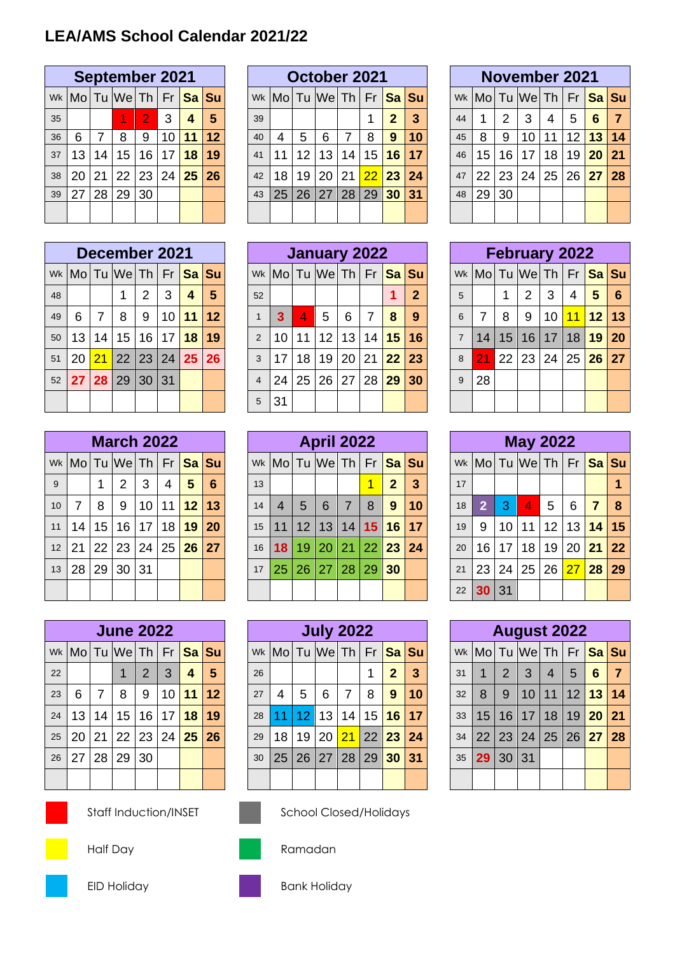# **LEA/AMS School Calendar 2021/22**

|    |    |    | <b>September 2021</b>                            |                |          |    |    |
|----|----|----|--------------------------------------------------|----------------|----------|----|----|
|    |    |    | wk  Mo   Tu  We   Th   Fr <mark>  Sa   Su</mark> |                |          |    |    |
| 35 |    |    |                                                  | $\overline{2}$ | 3        | 4  | 5  |
| 36 | 6  | 7  | 8                                                | 9              | 10       | 11 | 12 |
| 37 | 13 | 14 | 15 <sub>15</sub>                                 | 16             | 17       | 18 | 19 |
| 38 | 20 | 21 | 22 23                                            |                | 24 25 26 |    |    |
| 39 | 27 | 28 | 29                                               | 30             |          |    |    |
|    |    |    |                                                  |                |          |    |    |

|    |   |       | December 2021                                 |                   |            |
|----|---|-------|-----------------------------------------------|-------------------|------------|
|    |   |       | wk   Mo   Tu   We   Th   Fr   Sa   Su         |                   |            |
| 48 |   |       | $\mathbf 1$                                   | $2 \mid 3 \mid 4$ | $\sqrt{5}$ |
| 49 | 6 | l 7 L |                                               | 8 9 10 11 12      |            |
| 50 |   |       | 13   14   15   16   17   <mark>18   19</mark> |                   |            |
| 51 |   |       | 20 21 22 23 24 25 26                          |                   |            |
|    |   |       | 52 27 28 29 30 31                             |                   |            |
|    |   |       |                                               |                   |            |

|    |                |              | <b>March 2022</b>                             |              |                |                 |                 |
|----|----------------|--------------|-----------------------------------------------|--------------|----------------|-----------------|-----------------|
|    |                |              | wk   Mo   Tu   We   Th   Fr   Sa   Su         |              |                |                 |                 |
| 9  |                | $\mathbf{1}$ | $2^{\circ}$                                   | $\mathbf{3}$ | $\overline{4}$ | $5\overline{)}$ | $6\phantom{1}6$ |
| 10 | 7 <sup>7</sup> | 8            |                                               |              | 9 10 11 12 13  |                 |                 |
| 11 |                |              | 14   15   16   17   18 <mark>  19   20</mark> |              |                |                 |                 |
|    | 12 21          |              | 22 23 24 25 26 27                             |              |                |                 |                 |
| 13 |                |              | 28   29   30   31                             |              |                |                 |                 |
|    |                |              |                                               |              |                |                 |                 |

|    |   |                | <b>June 2022</b>                           |                |                |                         |                |
|----|---|----------------|--------------------------------------------|----------------|----------------|-------------------------|----------------|
|    |   |                | wk  Mo Tu  We Th   Fr <mark> Sa  Su</mark> |                |                |                         |                |
| 22 |   |                | 1                                          | 2 <sup>1</sup> | $\overline{3}$ | $\overline{\mathbf{4}}$ | $5\phantom{1}$ |
| 23 | 6 | 7 <sup>1</sup> | 8                                          | 9              | 10111          |                         | $ 12\rangle$   |
| 24 |   |                | 13   14   15   16   17   18   19           |                |                |                         |                |
| 25 |   |                | 20 21 22 23 24 25 26                       |                |                |                         |                |
| 26 |   |                | 27   28   29   30                          |                |                |                         |                |
|    |   |                |                                            |                |                |                         |                |

|    |                           |    | <b>September 2021</b> |                 |    |              |    |    |                                   |    |    | October 2021    |                 |                 |    |    |    |    | November 2021                       |    |    |    |    |
|----|---------------------------|----|-----------------------|-----------------|----|--------------|----|----|-----------------------------------|----|----|-----------------|-----------------|-----------------|----|----|----|----|-------------------------------------|----|----|----|----|
|    | wk  Mo   Tu  We   Th   Fr |    |                       |                 |    | <b>Sa Su</b> |    |    | Wk  Mo  Tu  We  Th   Fr   Sa   Su |    |    |                 |                 |                 |    |    |    |    | Wk  Mo   Tu  We   Th   Fr   Sa   Su |    |    |    |    |
| 35 |                           |    |                       |                 | 3  | 4            | 5  | 39 |                                   |    |    |                 |                 | $\mathbf 2$     | 3  | 44 |    | 2  | 3                                   | 4  | 5  | 6  | 7  |
| 36 | 6                         |    | 8                     | 9               | 10 | 11           | 12 | 40 | 4                                 | 5  | 6  |                 | 8               | 9               | 10 | 45 | 8  | 9  | 10                                  |    | 12 | 13 | 14 |
| 37 | 13                        | 14 | 15                    | 16 <sup>1</sup> | 17 | 18           | 19 | 41 | 11                                | 12 | 13 | 14 <sub>1</sub> | 15              | 16              | 17 | 46 | 15 | 16 | 17                                  | 18 | 19 | 20 | 21 |
| 38 | 20                        | 21 | 22 23                 |                 |    | 24 25        | 26 | 42 | 18                                | 19 | 20 | 21              | $\overline{22}$ | 23              | 24 | 47 | 22 | 23 | 24                                  | 25 | 26 | 27 | 28 |
| 39 | 27                        | 28 | 29                    | 30              |    |              |    | 43 | 25                                | 26 | 27 | 28              | 29              | 30 <sup>°</sup> | 31 | 48 | 29 | 30 |                                     |    |    |    |    |
|    |                           |    |                       |                 |    |              |    |    |                                   |    |    |                 |                 |                 |    |    |    |    |                                     |    |    |    |    |

|    |                                                  |             | December 2021   |   |                 |       |    |                |                                                    | January 2022 |                 |                 |                 |           |              |                |                                     |    | <b>February 2022</b> |    |    |       |     |
|----|--------------------------------------------------|-------------|-----------------|---|-----------------|-------|----|----------------|----------------------------------------------------|--------------|-----------------|-----------------|-----------------|-----------|--------------|----------------|-------------------------------------|----|----------------------|----|----|-------|-----|
|    | wk  Mo   Tu  We   Th   Fr <mark>  Sa   Su</mark> |             |                 |   |                 |       |    |                | Wk   Mo   Tu   We   Th   Fr <mark>  Sa   Su</mark> |              |                 |                 |                 |           |              |                | Wk  Mo   Tu  We   Th   Fr   Sa   Su |    |                      |    |    |       |     |
| 48 |                                                  |             |                 | 2 | 3               | 4     | 5  | 52             |                                                    |              |                 |                 |                 |           | $\mathbf{2}$ | 5              |                                     |    | 2                    | 3  | 4  | 5     | - 6 |
| 49 | 6                                                | 7           | 8               | 9 | 10 l            | 11 12 |    |                | 3                                                  | 4            | 5               | 6               |                 | 8         | 9            | 6              | 7                                   | 8  | 9                    | 10 | 11 | 12 13 |     |
| 50 | 13                                               | 14          | 15 <sup>1</sup> |   | $16$ 17         | 18    | 19 | 2              | 10                                                 | 11           | 12 <sup>1</sup> | 13 <sup>1</sup> | 14              | 15        | 16           | $\overline{7}$ | 14                                  | 15 | 16                   | 17 | 18 | 19    | 20  |
| 51 | 20                                               | $\sqrt{21}$ | 22 23           |   | 24 <sup>1</sup> | 25 26 |    | 3              | 17                                                 | 18           | 19              | 20              | 21 <sup>1</sup> | 22        | 23           | 8              | <b>21</b>                           | 22 | 23                   | 24 | 25 | 26 27 |     |
| 52 |                                                  |             | 27 28 29 30     |   | ∣31             |       |    | $\overline{4}$ | 24                                                 | 25           | 26              | 27              | 28              | <b>29</b> | 30           | 9              | 28                                  |    |                      |    |    |       |     |
|    |                                                  |             |                 |   |                 |       |    | 5              | 31                                                 |              |                 |                 |                 |           |              |                |                                     |    |                      |    |    |       |     |

|                 |                        |    | <b>March 2022</b> |    |                 |                 |    |    |                        |                | <b>April 2022</b> |    |                 |              |    |    |                        |    | <b>May 2022</b> |    |     |       |    |
|-----------------|------------------------|----|-------------------|----|-----------------|-----------------|----|----|------------------------|----------------|-------------------|----|-----------------|--------------|----|----|------------------------|----|-----------------|----|-----|-------|----|
|                 | wk   Mo   Tu   We   Th |    |                   |    | Fr              | <b>Sa</b> Su    |    |    | Wk   Mo   Tu   We   Th |                |                   |    | Fr              | Sa Su        |    |    | Wk   Mo   Tu   We   Th |    |                 |    | Fr. | Sa Su |    |
| 9               |                        |    | 2                 | 3  | 4               | 5               | 6  | 13 |                        |                |                   |    |                 | $\mathbf{2}$ | 3  | 17 |                        |    |                 |    |     |       |    |
| 10              |                        | 8  | 9                 | 10 | 11              | 12 <sub>1</sub> | 13 | 14 | $\overline{4}$         | $\overline{5}$ | 6                 |    | 8               | 9            | 10 | 18 | $\mathbf{2}$           | З  | 4               | 5  | 6   | 7     | -8 |
| 11              | 14                     | 15 | 16 <sup>1</sup>   | 17 | 18 <sub>1</sub> | 19              | 20 | 15 | 11                     | 12             | 13                | 14 | 15 <sup>1</sup> | <b>16</b>    | 17 | 19 | 9                      | 10 | 11              | 12 | 13  | 14    | 15 |
| 12 <sup>2</sup> | 21                     | 22 | $23 \mid$         | 24 | 25              | 26              | 27 | 16 | 18                     | 19             | 20                | 21 | $\overline{22}$ | 23           | 24 | 20 | 16                     | 17 | 18              | 19 | 20  | 21    | 22 |
| 13              | 28                     | 29 | 30 31             |    |                 |                 |    | 17 | 25                     | 26             | 27                | 28 | 29              | 30           |    | 21 | 23                     | 24 | 25              | 26 | 27  | 28    | 29 |
|                 |                        |    |                   |    |                 |                 |    |    |                        |                |                   |    |                 |              |    | 22 | 30 <sub>1</sub>        | 31 |                 |    |     |       |    |

|    |                        |    | <b>June 2022</b> |                 |    |    |       |    |                        |    |    | <b>July 2022</b> |                 |                |    |    |    |    | <b>August 2022</b>     |    |                   |                 |              |
|----|------------------------|----|------------------|-----------------|----|----|-------|----|------------------------|----|----|------------------|-----------------|----------------|----|----|----|----|------------------------|----|-------------------|-----------------|--------------|
|    | wk   Mo   Tu   We   Th |    |                  |                 | Fr |    | Sa Su |    | Wk   Mo   Tu   We   Th |    |    |                  | Fr              | Sa Su          |    |    |    |    | Wk   Mo   Tu   We   Th |    |                   | Fr Sa Su        |              |
| 22 |                        |    |                  | 2               | 3  | 4  | 5     | 26 |                        |    |    |                  |                 | $\overline{2}$ | 3  | 31 |    | 2  | 3                      | 4  | 5                 | 6               | $\mathbf{7}$ |
| 23 | 6                      | 7  | 8                | 9               | 10 | 11 | 12    | 27 | 4                      | 5  | 6  | 7                | 8               | 9              | 10 | 32 | 8  | 9  | 10                     | 11 | $12 \overline{ }$ | 13 <sup>1</sup> | 14           |
| 24 | 13 <sup>2</sup>        | 14 | 15 <sub>2</sub>  | 16 <sup>1</sup> | 17 | 18 | 19    | 28 |                        | 2  | 13 | 14               | 15              | 16             | 17 | 33 | 15 | 16 | 17                     | 18 | 19                | 20              | 21           |
| 25 | 20 <sub>1</sub>        | 21 | $22 \mid$        | 23              | 24 | 25 | 26    | 29 | 18                     | 19 | 20 | 21               | 22 <sup>1</sup> | 23             | 24 | 34 | 22 | 23 | 24                     | 25 | 26                | 27              | 28           |
| 26 | 27                     | 28 | 29               | 30              |    |    |       | 30 | 25                     | 26 | 27 | 28               | 29              | 30             | 31 | 35 | 29 | 30 | 31                     |    |                   |                 |              |
|    |                        |    |                  |                 |    |    |       |    |                        |    |    |                  |                 |                |    |    |    |    |                        |    |                   |                 |              |

|    |                 |    | <b>November 2021</b> |                |                 |       |                                  |
|----|-----------------|----|----------------------|----------------|-----------------|-------|----------------------------------|
|    |                 |    |                      |                |                 |       | Wk Mo Tu We Th Fr Sa Su          |
| 44 | 1               |    | $2 \mid 3$           | $\overline{4}$ | 5               | 6     | $\overline{7}$                   |
| 45 | 8               | 9  | 10 <sup>°</sup>      |                |                 |       | 11   12 <mark>  13   14  </mark> |
| 46 | 15 <sub>1</sub> | 16 | $17$ 18              |                | 19 <sup>°</sup> | 20 21 |                                  |
| 47 |                 |    |                      |                |                 |       | 22 23 24 25 26 27 28             |
| 48 | 29              | 30 |                      |                |                 |       |                                  |
|    |                 |    |                      |                |                 |       |                                  |

|                 |                |              | <b>February 2022</b>             |              |                |                 |                 |
|-----------------|----------------|--------------|----------------------------------|--------------|----------------|-----------------|-----------------|
|                 |                |              | Wk Mo Tu We Th Fr Sa Su          |              |                |                 |                 |
| $\overline{5}$  |                | $\mathbf{1}$ | 2 <sup>1</sup>                   | $\mathbf{3}$ | $\overline{4}$ | $5\overline{)}$ | $6\phantom{1}6$ |
| $6\phantom{1}6$ | $\overline{7}$ | 8            | 9                                |              | 10 11 12 13    |                 |                 |
| $\overline{7}$  |                |              | 14   15   16   17   18   19   20 |              |                |                 |                 |
| 8               |                |              | 21 22 23 24 25 26 27             |              |                |                 |                 |
| 9               | 28             |              |                                  |              |                |                 |                 |
|                 |                |              |                                  |              |                |                 |                 |

|    |                |    | <b>May 2022</b> |                |   |                |                                                 |
|----|----------------|----|-----------------|----------------|---|----------------|-------------------------------------------------|
|    |                |    |                 |                |   |                | Wk Mo Tu We Th Fr Sa Su                         |
| 17 |                |    |                 |                |   |                |                                                 |
| 18 | $\overline{2}$ | B  | $\vert 4$       | $\overline{5}$ | 6 | $\overline{7}$ | 8                                               |
| 19 | 9              |    |                 |                |   |                | 10 11 12 13 14 15                               |
| 20 |                |    |                 |                |   |                | 16   17   18   19   20 <mark>  21   22  </mark> |
| 21 |                |    |                 |                |   |                | 23 24 25 26 27 28 29                            |
|    | 22 30          | 31 |                 |                |   |                |                                                 |

|    |                              | <b>August 2022</b>               |                 |                |   |                            |
|----|------------------------------|----------------------------------|-----------------|----------------|---|----------------------------|
|    |                              |                                  |                 |                |   | Wk Mo Tu We Th Fr Sa Su    |
| 31 | $\mathbf{1}$                 | $2 \mid 3 \mid$                  | $\vert 4 \vert$ | 5 <sup>1</sup> | 6 | $\overline{7}$             |
| 32 | 8                            |                                  |                 |                |   | 9   10   11   12   13   14 |
| 33 |                              | 15   16   17   18   19   20   21 |                 |                |   |                            |
| 34 |                              |                                  |                 |                |   | 22 23 24 25 26 27 28       |
|    | $35 \mid 29 \mid 30 \mid 31$ |                                  |                 |                |   |                            |
|    |                              |                                  |                 |                |   |                            |



Staff Induction/INSET School Closed/Holidays





Half Day **Ramadan** 





EID Holiday **Bank Holiday**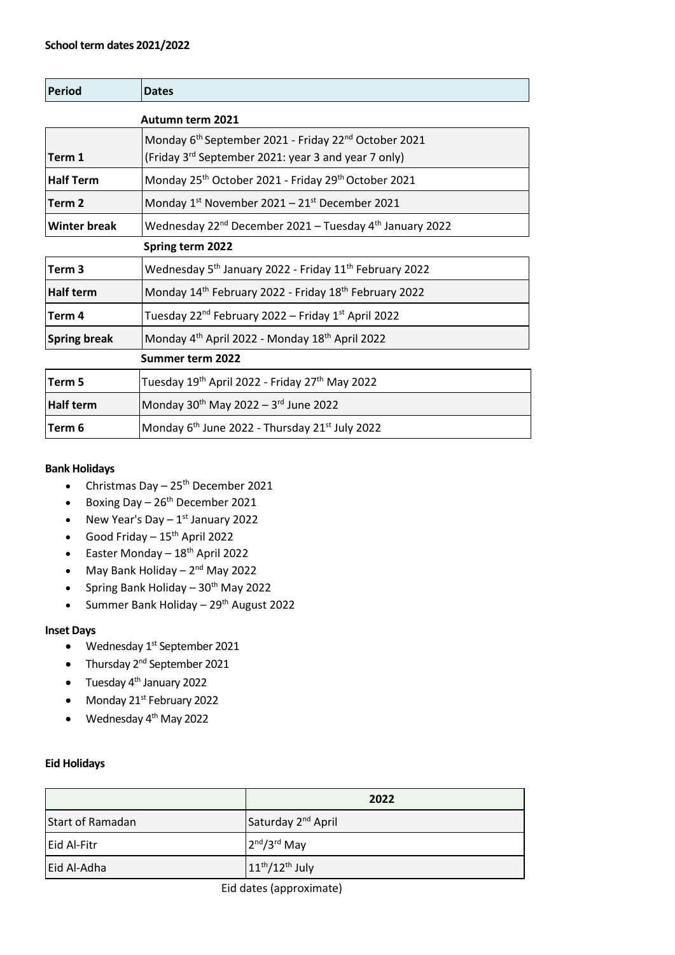## **School term dates 2021/2022**

| <b>Period</b>           | <b>Dates</b>                                                                                                                        |  |
|-------------------------|-------------------------------------------------------------------------------------------------------------------------------------|--|
| <b>Autumn term 2021</b> |                                                                                                                                     |  |
| Term 1                  | Monday 6 <sup>th</sup> September 2021 - Friday 22 <sup>nd</sup> October 2021<br>(Friday 3rd September 2021: year 3 and year 7 only) |  |
| <b>Half Term</b>        | Monday 25 <sup>th</sup> October 2021 - Friday 29 <sup>th</sup> October 2021                                                         |  |
| Term <sub>2</sub>       | Monday $1^{st}$ November 2021 – $21^{st}$ December 2021                                                                             |  |
| <b>Winter break</b>     | Wednesday 22 <sup>nd</sup> December 2021 – Tuesday 4 <sup>th</sup> January 2022                                                     |  |
| Spring term 2022        |                                                                                                                                     |  |
| Term <sub>3</sub>       | Wednesday 5 <sup>th</sup> January 2022 - Friday 11 <sup>th</sup> February 2022                                                      |  |
| <b>Half term</b>        | Monday 14 <sup>th</sup> February 2022 - Friday 18 <sup>th</sup> February 2022                                                       |  |
| Term 4                  | Tuesday 22 <sup>nd</sup> February 2022 – Friday 1 <sup>st</sup> April 2022                                                          |  |
| <b>Spring break</b>     | Monday 4 <sup>th</sup> April 2022 - Monday 18 <sup>th</sup> April 2022                                                              |  |
| Summer term 2022        |                                                                                                                                     |  |
| Term 5                  | Tuesday 19 <sup>th</sup> April 2022 - Friday 27 <sup>th</sup> May 2022                                                              |  |
| <b>Half term</b>        | Monday $30^{th}$ May 2022 - $3^{rd}$ June 2022                                                                                      |  |
| Term 6                  | Monday 6 <sup>th</sup> June 2022 - Thursday 21 <sup>st</sup> July 2022                                                              |  |

# **Bank Holidays**

- Christmas Day  $-25^{th}$  December 2021
- Boxing Day  $-26^{th}$  December 2021
- New Year's Day  $-1^{st}$  January 2022
- Good Friday  $15<sup>th</sup>$  April 2022
- Easter Monday  $-18^{th}$  April 2022
- May Bank Holiday 2<sup>nd</sup> May 2022
- Spring Bank Holiday 30<sup>th</sup> May 2022
- Summer Bank Holiday  $29<sup>th</sup>$  August 2022

#### **Inset Days**

- Wednesday  $1^{st}$  September 2021
- Thursday  $2^{nd}$  September 2021
- Tuesday 4<sup>th</sup> January 2022
- Monday 21<sup>st</sup> February 2022
- Wednesday 4<sup>th</sup> May 2022

## **Eid Holidays**

|                  | 2022                           |
|------------------|--------------------------------|
| Start of Ramadan | Saturday 2 <sup>nd</sup> April |
| Eid Al-Fitr      | $2nd/3rd$ May                  |
| Eid Al-Adha      | $11th/12th$ July               |

## Eid dates (approximate)